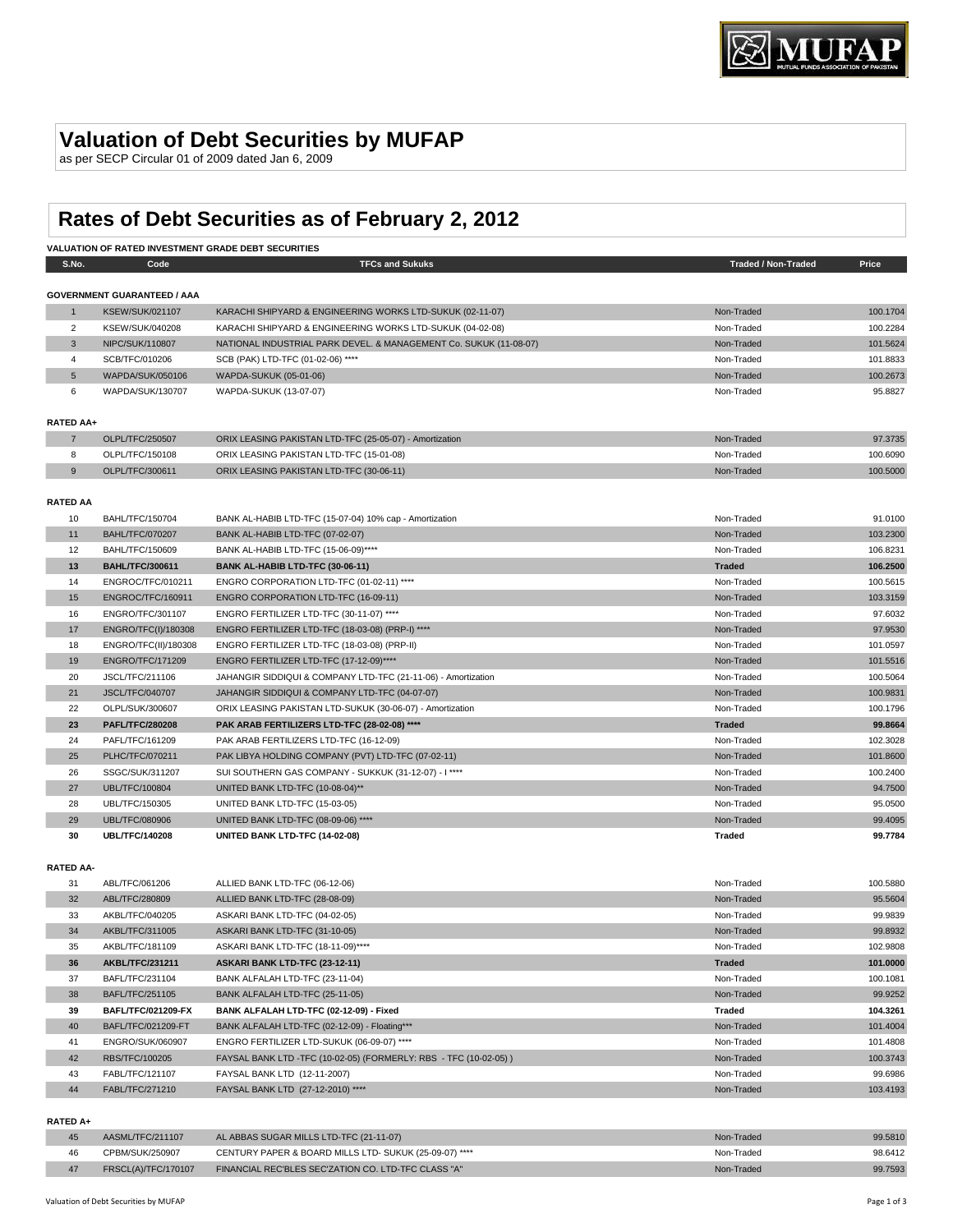# **Valuation of Debt Securities by MUFAP**

as per SECP Circular 01 of 2009 dated Jan 6, 2009

# **Rates of Debt Securities as of February 2, 2012**

|                  | VALUATION OF RATED INVESTMENT GRADE DEBT SECURITIES |                                                                   |                            |          |  |
|------------------|-----------------------------------------------------|-------------------------------------------------------------------|----------------------------|----------|--|
| S.No.            | Code                                                | <b>TFCs and Sukuks</b>                                            | <b>Traded / Non-Traded</b> | Price    |  |
|                  |                                                     |                                                                   |                            |          |  |
|                  | <b>GOVERNMENT GUARANTEED / AAA</b>                  |                                                                   |                            |          |  |
| $\mathbf{1}$     | <b>KSEW/SUK/021107</b>                              | KARACHI SHIPYARD & ENGINEERING WORKS LTD-SUKUK (02-11-07)         | Non-Traded                 | 100.1704 |  |
| $\overline{2}$   | KSEW/SUK/040208                                     | KARACHI SHIPYARD & ENGINEERING WORKS LTD-SUKUK (04-02-08)         | Non-Traded                 | 100.2284 |  |
| $\mathbf{3}$     | NIPC/SUK/110807                                     | NATIONAL INDUSTRIAL PARK DEVEL. & MANAGEMENT Co. SUKUK (11-08-07) | Non-Traded                 | 101.5624 |  |
| $\overline{4}$   | SCB/TFC/010206                                      | SCB (PAK) LTD-TFC (01-02-06) ****                                 | Non-Traded                 | 101.8833 |  |
| 5                | WAPDA/SUK/050106                                    | WAPDA-SUKUK (05-01-06)                                            | Non-Traded                 | 100.2673 |  |
| 6                | WAPDA/SUK/130707                                    | WAPDA-SUKUK (13-07-07)                                            | Non-Traded                 | 95.8827  |  |
| <b>RATED AA+</b> |                                                     |                                                                   |                            |          |  |
| $\overline{7}$   | OLPL/TFC/250507                                     | ORIX LEASING PAKISTAN LTD-TFC (25-05-07) - Amortization           | Non-Traded                 | 97.3735  |  |
| 8                | OLPL/TFC/150108                                     | ORIX LEASING PAKISTAN LTD-TFC (15-01-08)                          | Non-Traded                 | 100.6090 |  |
| 9                | OLPL/TFC/300611                                     | ORIX LEASING PAKISTAN LTD-TFC (30-06-11)                          | Non-Traded                 | 100.5000 |  |
|                  |                                                     |                                                                   |                            |          |  |
| <b>RATED AA</b>  |                                                     |                                                                   |                            |          |  |
| 10               | <b>BAHL/TFC/150704</b>                              | BANK AL-HABIB LTD-TFC (15-07-04) 10% cap - Amortization           | Non-Traded                 | 91.0100  |  |
| 11               | <b>BAHL/TFC/070207</b>                              | BANK AL-HABIB LTD-TFC (07-02-07)                                  | Non-Traded                 | 103.2300 |  |
| 12               | BAHL/TFC/150609                                     | BANK AL-HABIB LTD-TFC (15-06-09)****                              | Non-Traded                 | 106.8231 |  |
| 13               | <b>BAHL/TFC/300611</b>                              | BANK AL-HABIB LTD-TFC (30-06-11)                                  | <b>Traded</b>              | 106.2500 |  |
| 14               | ENGROC/TFC/010211                                   | ENGRO CORPORATION LTD-TFC (01-02-11) ****                         | Non-Traded                 | 100.5615 |  |
| 15               | ENGROC/TFC/160911                                   | ENGRO CORPORATION LTD-TFC (16-09-11)                              | Non-Traded                 | 103.3159 |  |
| 16               | <b>ENGRO/TFC/301107</b>                             | ENGRO FERTILIZER LTD-TFC (30-11-07) ****                          | Non-Traded                 | 97.6032  |  |
| 17               | ENGRO/TFC(I)/180308                                 | ENGRO FERTILIZER LTD-TFC (18-03-08) (PRP-I) ****                  | Non-Traded                 | 97.9530  |  |
| 18               | ENGRO/TFC(II)/180308                                | ENGRO FERTILIZER LTD-TFC (18-03-08) (PRP-II)                      | Non-Traded                 | 101.0597 |  |
| 19               | <b>ENGRO/TFC/171209</b>                             | ENGRO FERTILIZER LTD-TFC (17-12-09)****                           | Non-Traded                 | 101.5516 |  |
| 20               | JSCL/TFC/211106                                     | JAHANGIR SIDDIQUI & COMPANY LTD-TFC (21-11-06) - Amortization     | Non-Traded                 | 100.5064 |  |
| 21               | <b>JSCL/TFC/040707</b>                              | JAHANGIR SIDDIQUI & COMPANY LTD-TFC (04-07-07)                    | Non-Traded                 | 100.9831 |  |
| 22               | OLPL/SUK/300607                                     | ORIX LEASING PAKISTAN LTD-SUKUK (30-06-07) - Amortization         | Non-Traded                 | 100.1796 |  |
| 23               | <b>PAFL/TFC/280208</b>                              | PAK ARAB FERTILIZERS LTD-TFC (28-02-08) ****                      | <b>Traded</b>              | 99.8664  |  |
| 24               | PAFL/TFC/161209                                     | PAK ARAB FERTILIZERS LTD-TFC (16-12-09)                           | Non-Traded                 | 102.3028 |  |
| 25               | PLHC/TFC/070211                                     | PAK LIBYA HOLDING COMPANY (PVT) LTD-TFC (07-02-11)                | Non-Traded                 | 101.8600 |  |
| 26               | SSGC/SUK/311207                                     | SUI SOUTHERN GAS COMPANY - SUKKUK (31-12-07) - I ****             | Non-Traded                 | 100.2400 |  |
| 27               | <b>UBL/TFC/100804</b>                               | UNITED BANK LTD-TFC (10-08-04)**                                  | Non-Traded                 | 94.7500  |  |
| 28               | UBL/TFC/150305                                      | UNITED BANK LTD-TFC (15-03-05)                                    | Non-Traded                 | 95.0500  |  |
| 29               | <b>UBL/TFC/080906</b>                               | UNITED BANK LTD-TFC (08-09-06) ****                               | Non-Traded                 | 99.4095  |  |
| 30               | <b>UBL/TFC/140208</b>                               | UNITED BANK LTD-TFC (14-02-08)                                    | <b>Traded</b>              | 99.7784  |  |
|                  |                                                     |                                                                   |                            |          |  |
| <b>RATED AA-</b> |                                                     |                                                                   |                            |          |  |
| 31               | ABL/TFC/061206                                      | ALLIED BANK LTD-TFC (06-12-06)                                    | Non-Traded                 | 100.5880 |  |
| 32               | ABL/TFC/280809                                      | ALLIED BANK LTD-TFC (28-08-09)                                    | Non-Traded                 | 95.5604  |  |
| 33               | AKBL/TFC/040205                                     | ASKARI BANK LTD-TFC (04-02-05)                                    | Non-Traded                 | 99.9839  |  |
| 34               | AKBL/TFC/311005                                     | ASKARI BANK LTD-TFC (31-10-05)                                    | Non-Traded                 | 99.8932  |  |
| 35               | AKBL/TFC/181109                                     | ASKARI BANK LTD-TFC (18-11-09)****                                | Non-Traded                 | 102.9808 |  |
| 36               | <b>AKBL/TFC/231211</b>                              | ASKARI BANK LTD-TFC (23-12-11)                                    | <b>Traded</b>              | 101.0000 |  |
| 37               | BAFL/TFC/231104                                     | BANK ALFALAH LTD-TFC (23-11-04)                                   | Non-Traded                 | 100.1081 |  |
| 38               | BAFL/TFC/251105                                     | BANK ALFALAH LTD-TFC (25-11-05)                                   | Non-Traded                 | 99.9252  |  |
| 39               | BAFL/TFC/021209-FX                                  | BANK ALFALAH LTD-TFC (02-12-09) - Fixed                           | <b>Traded</b>              | 104.3261 |  |
| 40               | BAFL/TFC/021209-FT                                  | BANK ALFALAH LTD-TFC (02-12-09) - Floating***                     | Non-Traded                 | 101.4004 |  |
| 41               | ENGRO/SUK/060907                                    | ENGRO FERTILIZER LTD-SUKUK (06-09-07) ****                        | Non-Traded                 | 101.4808 |  |
| 42               | RBS/TFC/100205                                      | FAYSAL BANK LTD -TFC (10-02-05) (FORMERLY: RBS - TFC (10-02-05))  | Non-Traded                 | 100.3743 |  |
|                  | FABL/TFC/121107                                     |                                                                   | Non-Traded                 | 99.6986  |  |
| 43               | FABL/TFC/271210                                     | FAYSAL BANK LTD (12-11-2007)                                      |                            |          |  |
| 44               |                                                     | FAYSAL BANK LTD (27-12-2010) ****                                 | Non-Traded                 | 103.4193 |  |
| <b>RATED A+</b>  |                                                     |                                                                   |                            |          |  |

### **RATED A+**

|    | AASML/TFC/211107    | AL ABBAS SUGAR MILLS LTD-TFC (21-11-07)                | Non-Traded | 99.5810 |
|----|---------------------|--------------------------------------------------------|------------|---------|
| 46 | CPBM/SUK/250907     | CENTURY PAPER & BOARD MILLS LTD- SUKUK (25-09-07) **** | Non-Traded | 98.6412 |
|    | FRSCL(A)/TFC/170107 | FINANCIAL REC'BLES SEC'ZATION CO. LTD-TFC CLASS "A"    | Non-Traded | 99.7593 |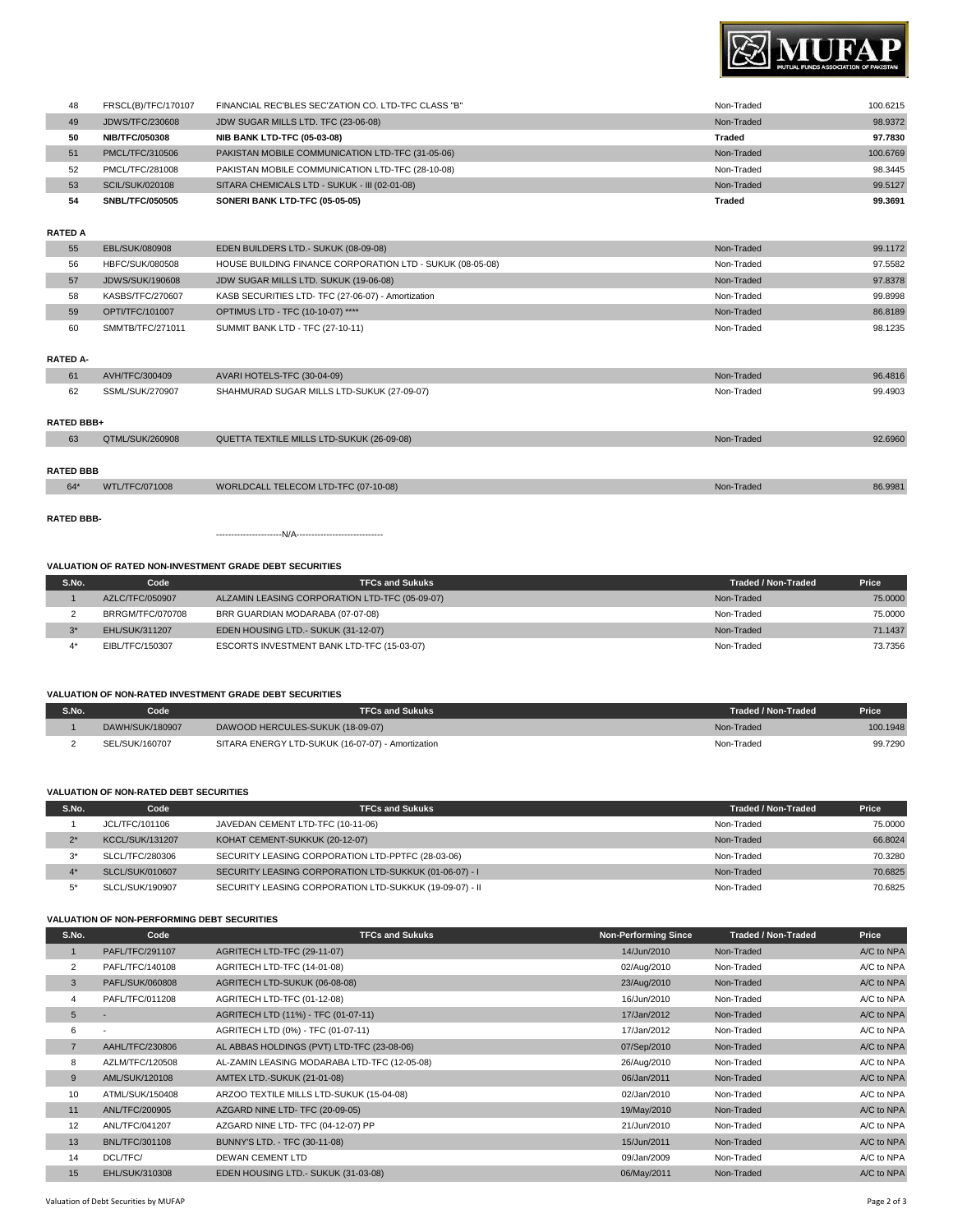

| 48 | FRSCL(B)/TFC/170107    | FINANCIAL REC'BLES SEC'ZATION CO. LTD-TFC CLASS "B" | Non-Traded | 100.6215 |
|----|------------------------|-----------------------------------------------------|------------|----------|
| 49 | <b>JDWS/TFC/230608</b> | JDW SUGAR MILLS LTD. TFC (23-06-08)                 | Non-Traded | 98.9372  |
| 50 | <b>NIB/TFC/050308</b>  | <b>NIB BANK LTD-TFC (05-03-08)</b>                  | Traded     | 97.7830  |
| 51 | PMCL/TFC/310506        | PAKISTAN MOBILE COMMUNICATION LTD-TFC (31-05-06)    | Non-Traded | 100.6769 |
| 52 | PMCL/TFC/281008        | PAKISTAN MOBILE COMMUNICATION LTD-TFC (28-10-08)    | Non-Traded | 98.3445  |
| 53 | <b>SCIL/SUK/020108</b> | SITARA CHEMICALS LTD - SUKUK - III (02-01-08)       | Non-Traded | 99.5127  |
| 54 | <b>SNBL/TFC/050505</b> | SONERI BANK LTD-TFC (05-05-05)                      | Traded     | 99.3691  |
|    |                        |                                                     |            |          |

# **RATED A**

| EBL/SUK/080908         | EDEN BUILDERS LTD.- SUKUK (08-09-08)                      | Non-Traded | 99.1172 |
|------------------------|-----------------------------------------------------------|------------|---------|
| HBFC/SUK/080508        | HOUSE BUILDING FINANCE CORPORATION LTD - SUKUK (08-05-08) | Non-Traded | 97.5582 |
| <b>JDWS/SUK/190608</b> | JDW SUGAR MILLS LTD. SUKUK (19-06-08)                     | Non-Traded | 97.8378 |
| KASBS/TFC/270607       | KASB SECURITIES LTD- TFC (27-06-07) - Amortization        | Non-Traded | 99.8998 |
| OPTI/TFC/101007        | OPTIMUS LTD - TFC (10-10-07) ****                         | Non-Traded | 86.8189 |
| SMMTB/TFC/271011       | SUMMIT BANK LTD - TFC (27-10-11)                          | Non-Traded | 98.1235 |
|                        |                                                           |            |         |
|                        |                                                           |            |         |
|                        |                                                           |            |         |

| 61                | AVH/TFC/300409  | AVARI HOTELS-TFC (30-04-09)                | Non-Traded | 96,4816 |  |
|-------------------|-----------------|--------------------------------------------|------------|---------|--|
| 62                | SSML/SUK/270907 | SHAHMURAD SUGAR MILLS LTD-SUKUK (27-09-07) | Non-Traded | 99.4903 |  |
|                   |                 |                                            |            |         |  |
| <b>RATED BBB+</b> |                 |                                            |            |         |  |
| 63                | QTML/SUK/260908 | QUETTA TEXTILE MILLS LTD-SUKUK (26-09-08)  | Non-Traded | 92.6960 |  |
|                   |                 |                                            |            |         |  |
| <b>RATED BBB</b>  |                 |                                            |            |         |  |
| 64"               | WTL/TFC/071008  | WORLDCALL TELECOM LTD-TFC (07-10-08)       | Non-Traded | 86.9981 |  |
|                   |                 |                                            |            |         |  |

**RATED BBB-**

----------------------N/A-----------------------------

# **VALUATION OF RATED NON-INVESTMENT GRADE DEBT SECURITIES**

| S.No.    | Code                  | <b>TFCs and Sukuks</b>                         | Traded / Non-Traded | Price   |
|----------|-----------------------|------------------------------------------------|---------------------|---------|
|          | AZLC/TFC/050907       | ALZAMIN LEASING CORPORATION LTD-TFC (05-09-07) | Non-Traded          | 75,0000 |
|          | BRRGM/TFC/070708      | BRR GUARDIAN MODARABA (07-07-08)               | Non-Traded          | 75,0000 |
| $x \cap$ | <b>EHL/SUK/311207</b> | EDEN HOUSING LTD.- SUKUK (31-12-07)            | Non-Traded          | 71.1437 |
|          | EIBL/TFC/150307       | ESCORTS INVESTMENT BANK LTD-TFC (15-03-07)     | Non-Traded          | 73.7356 |

# **VALUATION OF NON-RATED INVESTMENT GRADE DEBT SECURITIES**

| S.No. | Code'           | TFCs and Sukuks                                   | Traded / Non-Traded | Price    |
|-------|-----------------|---------------------------------------------------|---------------------|----------|
|       | DAWH/SUK/180907 | DAWOOD HERCULES-SUKUK (18-09-07)                  | Non-Traded          | 100.1948 |
|       | SEL/SUK/160707  | SITARA ENERGY LTD-SUKUK (16-07-07) - Amortization | Non-Traded          | 99.7290  |

## **VALUATION OF NON-RATED DEBT SECURITIES**

| S.No. | Code                   | <b>TFCs and Sukuks</b>                                  | Traded / Non-Traded | Price   |
|-------|------------------------|---------------------------------------------------------|---------------------|---------|
|       | JCL/TFC/101106         | JAVEDAN CEMENT LTD-TFC (10-11-06)                       | Non-Traded          | 75,0000 |
| $2*$  | <b>KCCL/SUK/131207</b> | KOHAT CEMENT-SUKKUK (20-12-07)                          | Non-Traded          | 66.8024 |
| $3^*$ | SLCL/TFC/280306        | SECURITY LEASING CORPORATION LTD-PPTFC (28-03-06)       | Non-Traded          | 70.3280 |
|       | <b>SLCL/SUK/010607</b> | SECURITY LEASING CORPORATION LTD-SUKKUK (01-06-07) - I  | Non-Traded          | 70.6825 |
| $5^*$ | SLCL/SUK/190907        | SECURITY LEASING CORPORATION LTD-SUKKUK (19-09-07) - II | Non-Traded          | 70.6825 |

## **VALUATION OF NON-PERFORMING DEBT SECURITIES**

| S.No.          | Code                  | <b>TFCs and Sukuks</b>                       | <b>Non-Performing Since</b> | <b>Traded / Non-Traded</b> | Price      |
|----------------|-----------------------|----------------------------------------------|-----------------------------|----------------------------|------------|
|                | PAFL/TFC/291107       | AGRITECH LTD-TFC (29-11-07)                  | 14/Jun/2010                 | Non-Traded                 | A/C to NPA |
| $\overline{2}$ | PAFL/TFC/140108       | AGRITECH LTD-TFC (14-01-08)                  | 02/Aug/2010                 | Non-Traded                 | A/C to NPA |
| 3              | PAFL/SUK/060808       | AGRITECH LTD-SUKUK (06-08-08)                | 23/Aug/2010                 | Non-Traded                 | A/C to NPA |
| $\overline{4}$ | PAFL/TFC/011208       | AGRITECH LTD-TFC (01-12-08)                  | 16/Jun/2010                 | Non-Traded                 | A/C to NPA |
| 5              | $\sim$                | AGRITECH LTD (11%) - TFC (01-07-11)          | 17/Jan/2012                 | Non-Traded                 | A/C to NPA |
| 6              | ٠                     | AGRITECH LTD (0%) - TFC (01-07-11)           | 17/Jan/2012                 | Non-Traded                 | A/C to NPA |
| $\overline{7}$ | AAHL/TFC/230806       | AL ABBAS HOLDINGS (PVT) LTD-TFC (23-08-06)   | 07/Sep/2010                 | Non-Traded                 | A/C to NPA |
| 8              | AZLM/TFC/120508       | AL-ZAMIN LEASING MODARABA LTD-TFC (12-05-08) | 26/Aug/2010                 | Non-Traded                 | A/C to NPA |
| 9              | AML/SUK/120108        | <b>AMTEX LTD.-SUKUK (21-01-08)</b>           | 06/Jan/2011                 | Non-Traded                 | A/C to NPA |
| 10             | ATML/SUK/150408       | ARZOO TEXTILE MILLS LTD-SUKUK (15-04-08)     | 02/Jan/2010                 | Non-Traded                 | A/C to NPA |
| 11             | ANL/TFC/200905        | AZGARD NINE LTD- TFC (20-09-05)              | 19/May/2010                 | Non-Traded                 | A/C to NPA |
| 12             | ANL/TFC/041207        | AZGARD NINE LTD- TFC (04-12-07) PP           | 21/Jun/2010                 | Non-Traded                 | A/C to NPA |
| 13             | <b>BNL/TFC/301108</b> | BUNNY'S LTD. - TFC (30-11-08)                | 15/Jun/2011                 | Non-Traded                 | A/C to NPA |
| 14             | DCL/TFC/              | <b>DEWAN CEMENT LTD</b>                      | 09/Jan/2009                 | Non-Traded                 | A/C to NPA |
| 15             | EHL/SUK/310308        | EDEN HOUSING LTD.- SUKUK (31-03-08)          | 06/May/2011                 | Non-Traded                 | A/C to NPA |